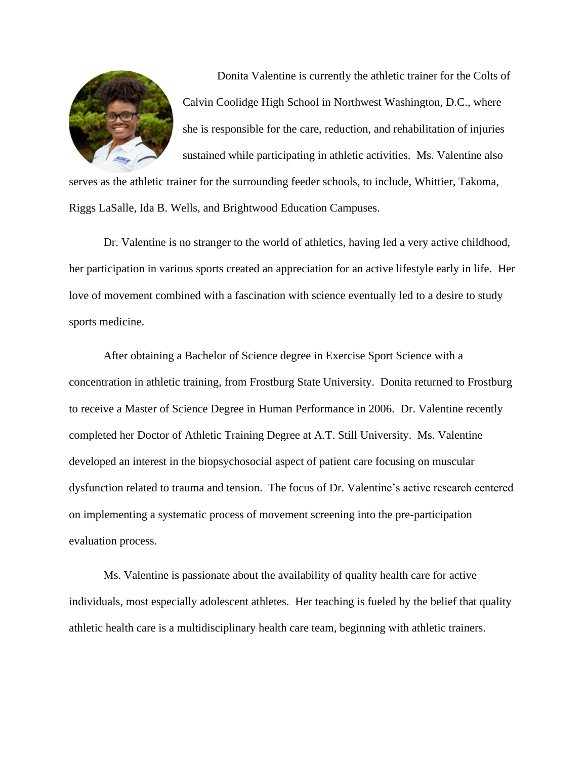

Donita Valentine is currently the athletic trainer for the Colts of Calvin Coolidge High School in Northwest Washington, D.C., where she is responsible for the care, reduction, and rehabilitation of injuries sustained while participating in athletic activities. Ms. Valentine also

serves as the athletic trainer for the surrounding feeder schools, to include, Whittier, Takoma, Riggs LaSalle, Ida B. Wells, and Brightwood Education Campuses.

Dr. Valentine is no stranger to the world of athletics, having led a very active childhood, her participation in various sports created an appreciation for an active lifestyle early in life. Her love of movement combined with a fascination with science eventually led to a desire to study sports medicine.

After obtaining a Bachelor of Science degree in Exercise Sport Science with a concentration in athletic training, from Frostburg State University. Donita returned to Frostburg to receive a Master of Science Degree in Human Performance in 2006. Dr. Valentine recently completed her Doctor of Athletic Training Degree at A.T. Still University. Ms. Valentine developed an interest in the biopsychosocial aspect of patient care focusing on muscular dysfunction related to trauma and tension. The focus of Dr. Valentine's active research centered on implementing a systematic process of movement screening into the pre-participation evaluation process.

Ms. Valentine is passionate about the availability of quality health care for active individuals, most especially adolescent athletes. Her teaching is fueled by the belief that quality athletic health care is a multidisciplinary health care team, beginning with athletic trainers.